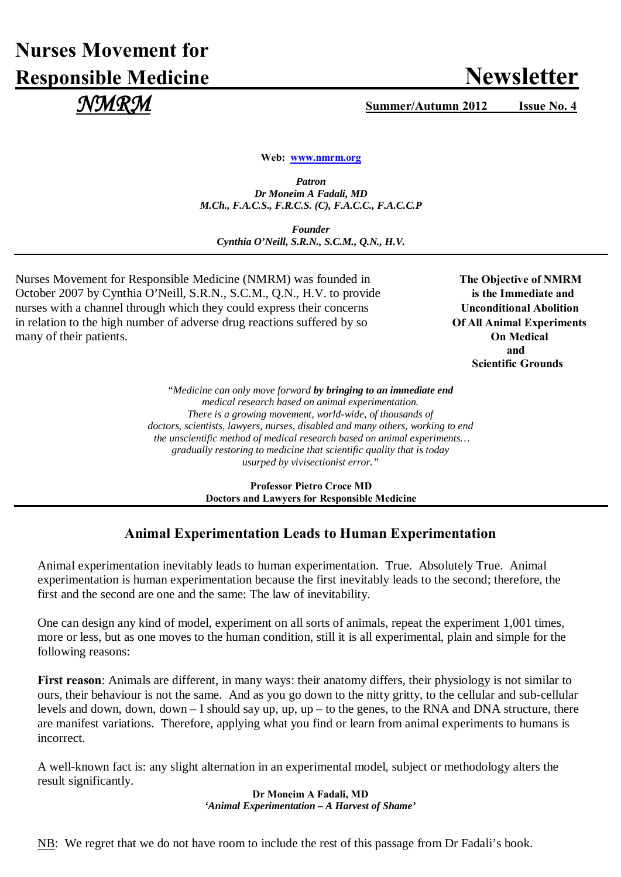## **Nurses Movement for Responsible Medicine Newsletter**

 *NMRM* **Summer/Autumn 2012 Issue No. 4**

**Web: [www.nmrm.org](http://www.nmrm.org/)**

*Patron Dr Moneim A Fadali, MD M.Ch., F.A.C.S., F.R.C.S. (C), F.A.C.C., F.A.C.C.P*

*Founder Cynthia O'Neill, S.R.N., S.C.M., Q.N., H.V.*

Nurses Movement for Responsible Medicine (NMRM) was founded in The Objective of NMRM October 2007 by Cynthia O'Neill, S.R.N., S.C.M., Q.N., H.V. to provide **is the Immediate and** nurses with a channel through which they could express their concerns Unconditional Abolition in relation to the high number of adverse drug reactions suffered by so **Of All Animal Experiments** many of their patients. **On Medical**

 **and**  **Scientific Grounds**

> *"Medicine can only move forward by bringing to an immediate end medical research based on animal experimentation. There is a growing movement, world-wide, of thousands of doctors, scientists, lawyers, nurses, disabled and many others, working to end the unscientific method of medical research based on animal experiments… gradually restoring to medicine that scientific quality that is today usurped by vivisectionist error."*

> > **Professor Pietro Croce MD Doctors and Lawyers for Responsible Medicine**

## **Animal Experimentation Leads to Human Experimentation**

Animal experimentation inevitably leads to human experimentation. True. Absolutely True. Animal experimentation is human experimentation because the first inevitably leads to the second; therefore, the first and the second are one and the same: The law of inevitability.

One can design any kind of model, experiment on all sorts of animals, repeat the experiment 1,001 times, more or less, but as one moves to the human condition, still it is all experimental, plain and simple for the following reasons:

**First reason**: Animals are different, in many ways: their anatomy differs, their physiology is not similar to ours, their behaviour is not the same. And as you go down to the nitty gritty, to the cellular and sub-cellular levels and down, down, down – I should say up, up, up – to the genes, to the RNA and DNA structure, there are manifest variations. Therefore, applying what you find or learn from animal experiments to humans is incorrect.

A well-known fact is: any slight alternation in an experimental model, subject or methodology alters the result significantly.

> **Dr Moneim A Fadali, MD** *'Animal Experimentation – A Harvest of Shame'*

NB: We regret that we do not have room to include the rest of this passage from Dr Fadali's book.